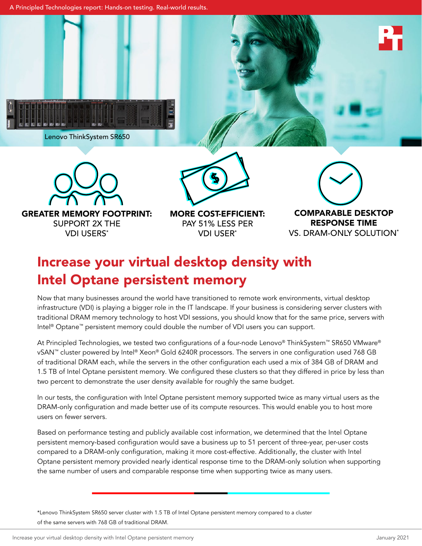A Principled Technologies report: Hands-on testing. Real-world results.



Lenovo ThinkSystem SR650





GREATER MEMORY FOOTPRINT: SUPPORT 2X THE VDI USERS\*





MORE COST-EFFICIENT: PAY 51% LESS PER VDI USER\*

COMPARABLE DESKTOP RESPONSE TIME VS. DRAM-ONLY SOLUTION\*

# Increase your virtual desktop density with Intel Optane persistent memory

Now that many businesses around the world have transitioned to remote work environments, virtual desktop infrastructure (VDI) is playing a bigger role in the IT landscape. If your business is considering server clusters with traditional DRAM memory technology to host VDI sessions, you should know that for the same price, servers with Intel® Optane™ persistent memory could double the number of VDI users you can support.

At Principled Technologies, we tested two configurations of a four-node Lenovo® ThinkSystem™ SR650 VMware® vSAN™ cluster powered by Intel® Xeon® Gold 6240R processors. The servers in one configuration used 768 GB of traditional DRAM each, while the servers in the other configuration each used a mix of 384 GB of DRAM and 1.5 TB of Intel Optane persistent memory. We configured these clusters so that they differed in price by less than two percent to demonstrate the user density available for roughly the same budget.

In our tests, the configuration with Intel Optane persistent memory supported twice as many virtual users as the DRAM-only configuration and made better use of its compute resources. This would enable you to host more users on fewer servers.

Based on performance testing and publicly available cost information, we determined that the Intel Optane persistent memory-based configuration would save a business up to 51 percent of three-year, per-user costs compared to a DRAM-only configuration, making it more cost-effective. Additionally, the cluster with Intel Optane persistent memory provided nearly identical response time to the DRAM-only solution when supporting the same number of users and comparable response time when supporting twice as many users.

\*Lenovo ThinkSystem SR650 server cluster with 1.5 TB of Intel Optane persistent memory compared to a cluster of the same servers with 768 GB of traditional DRAM.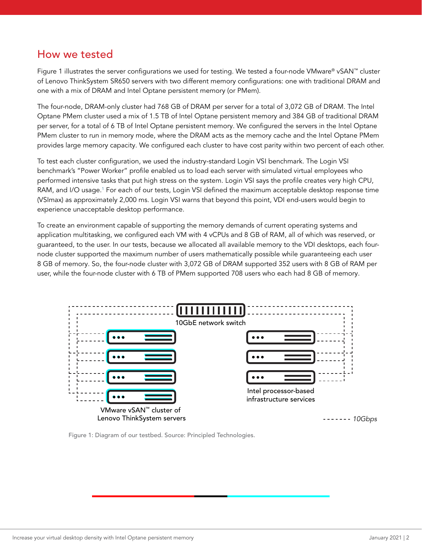### How we tested

Figure 1 illustrates the server configurations we used for testing. We tested a four-node VMware® vSAN™ cluster of Lenovo ThinkSystem SR650 servers with two different memory configurations: one with traditional DRAM and one with a mix of DRAM and Intel Optane persistent memory (or PMem).

The four-node, DRAM-only cluster had 768 GB of DRAM per server for a total of 3,072 GB of DRAM. The Intel Optane PMem cluster used a mix of 1.5 TB of Intel Optane persistent memory and 384 GB of traditional DRAM per server, for a total of 6 TB of Intel Optane persistent memory. We configured the servers in the Intel Optane PMem cluster to run in memory mode, where the DRAM acts as the memory cache and the Intel Optane PMem provides large memory capacity. We configured each cluster to have cost parity within two percent of each other.

To test each cluster configuration, we used the industry-standard Login VSI benchmark. The Login VSI benchmark's "Power Worker" profile enabled us to load each server with simulated virtual employees who performed intensive tasks that put high stress on the system. Login VSI says the profile creates very high CPU, RAM, and I/O usage.<sup>[1](#page-5-0)</sup> For each of our tests, Login VSI defined the maximum acceptable desktop response time (VSImax) as approximately 2,000 ms. Login VSI warns that beyond this point, VDI end-users would begin to experience unacceptable desktop performance.

To create an environment capable of supporting the memory demands of current operating systems and application multitasking, we configured each VM with 4 vCPUs and 8 GB of RAM, all of which was reserved, or guaranteed, to the user. In our tests, because we allocated all available memory to the VDI desktops, each fournode cluster supported the maximum number of users mathematically possible while guaranteeing each user 8 GB of memory. So, the four-node cluster with 3,072 GB of DRAM supported 352 users with 8 GB of RAM per user, while the four-node cluster with 6 TB of PMem supported 708 users who each had 8 GB of memory.



Figure 1: Diagram of our testbed. Source: Principled Technologies.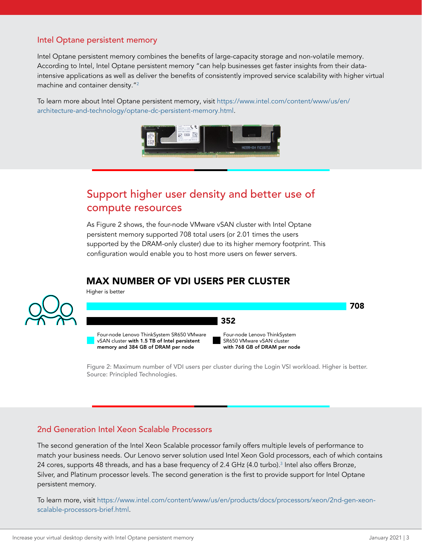#### Intel Optane persistent memory

Intel Optane persistent memory combines the benefits of large-capacity storage and non-volatile memory. According to Intel, Intel Optane persistent memory "can help businesses get faster insights from their dataintensive applications as well as deliver the benefits of consistently improved service scalability with higher virtual machine and container density."2

To learn more about Intel Optane persistent memory, visit [https://www.intel.com/content/www/us/en/](https://www.intel.com/content/www/us/en/architecture-and-technology/optane-dc-persistent-memory.html) [architecture-and-technology/optane-dc-persistent-memory.html](https://www.intel.com/content/www/us/en/architecture-and-technology/optane-dc-persistent-memory.html).



# Support higher user density and better use of compute resources

As Figure 2 shows, the four-node VMware vSAN cluster with Intel Optane persistent memory supported 708 total users (or 2.01 times the users supported by the DRAM-only cluster) due to its higher memory footprint. This configuration would enable you to host more users on fewer servers.

### MAX NUMBER OF VDI USERS PER CLUSTER



Higher is better



Figure 2: Maximum number of VDI users per cluster during the Login VSI workload. Higher is better. Source: Principled Technologies.

#### 2nd Generation Intel Xeon Scalable Processors

The second generation of the Intel Xeon Scalable processor family offers multiple levels of performance to match your business needs. Our Lenovo server solution used Intel Xeon Gold processors, each of which contains 24 cores, supports 48 threads, and has a base frequency of 2.4 GHz (4.0 turbo).<sup>3</sup> Intel also offers Bronze, Silver, and Platinum processor levels. The second generation is the first to provide support for Intel Optane persistent memory.

To learn more, visit [https://www.intel.com/content/www/us/en/products/docs/processors/xeon/2nd-gen-xeon](https://www.intel.com/content/www/us/en/products/docs/processors/xeon/2nd-gen-xeon-scalable-processors-brief.html)[scalable-processors-brief.html](https://www.intel.com/content/www/us/en/products/docs/processors/xeon/2nd-gen-xeon-scalable-processors-brief.html).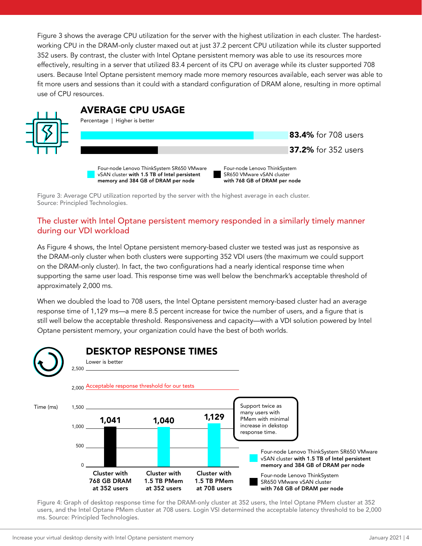Figure 3 shows the average CPU utilization for the server with the highest utilization in each cluster. The hardestworking CPU in the DRAM-only cluster maxed out at just 37.2 percent CPU utilization while its cluster supported 352 users. By contrast, the cluster with Intel Optane persistent memory was able to use its resources more effectively, resulting in a server that utilized 83.4 percent of its CPU on average while its cluster supported 708 users. Because Intel Optane persistent memory made more memory resources available, each server was able to fit more users and sessions than it could with a standard configuration of DRAM alone, resulting in more optimal use of CPU resources.



Four-node Lenovo ThinkSystem SR650 VMware vSAN cluster with 1.5 TB of Intel persistent memory and 384 GB of DRAM per node

Four-node Lenovo ThinkSystem SR650 VMware vSAN cluster with 768 GB of DRAM per node

Figure 3: Average CPU utilization reported by the server with the highest average in each cluster. Source: Principled Technologies.

#### The cluster with Intel Optane persistent memory responded in a similarly timely manner during our VDI workload

As Figure 4 shows, the Intel Optane persistent memory-based cluster we tested was just as responsive as the DRAM-only cluster when both clusters were supporting 352 VDI users (the maximum we could support on the DRAM-only cluster). In fact, the two configurations had a nearly identical response time when supporting the same user load. This response time was well below the benchmark's acceptable threshold of approximately 2,000 ms.

When we doubled the load to 708 users, the Intel Optane persistent memory-based cluster had an average response time of 1,129 ms—a mere 8.5 percent increase for twice the number of users, and a figure that is still well below the acceptable threshold. Responsiveness and capacity—with a VDI solution powered by Intel Optane persistent memory, your organization could have the best of both worlds.



Figure 4: Graph of desktop response time for the DRAM-only cluster at 352 users, the Intel Optane PMem cluster at 352 users, and the Intel Optane PMem cluster at 708 users. Login VSI determined the acceptable latency threshold to be 2,000 ms. Source: Principled Technologies.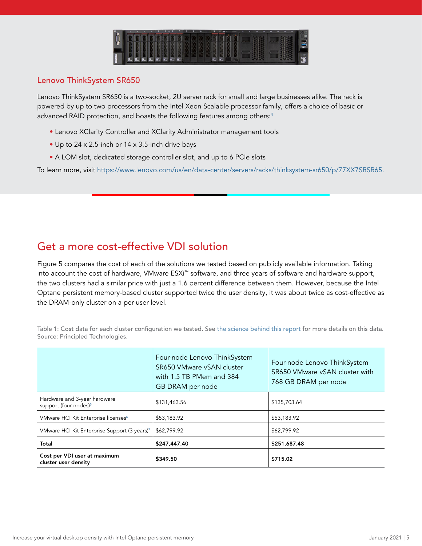

#### Lenovo ThinkSystem SR650

Lenovo ThinkSystem SR650 is a two-socket, 2U server rack for small and large businesses alike. The rack is powered by up to two processors from the Intel Xeon Scalable processor family, offers a choice of basic or advanced RAID protection, and boasts the following features among others:<sup>[4](#page-5-1)</sup>

- Lenovo XClarity Controller and XClarity Administrator management tools
- Up to 24 x 2.5-inch or 14 x 3.5-inch drive bays
- A LOM slot, dedicated storage controller slot, and up to 6 PCIe slots

To learn more, visit [https://www.lenovo.com/us/en/data-center/servers/racks/thinksystem-sr650/p/77XX7SRSR65.](https://www.lenovo.com/us/en/data-center/servers/racks/thinksystem-sr650/p/77XX7SRSR65 )

# Get a more cost-effective VDI solution

Figure 5 compares the cost of each of the solutions we tested based on publicly available information. Taking into account the cost of hardware, VMware ESXi™ software, and three years of software and hardware support, the two clusters had a similar price with just a 1.6 percent difference between them. However, because the Intel Optane persistent memory-based cluster supported twice the user density, it was about twice as cost-effective as the DRAM-only cluster on a per-user level.

|                                                                   | Four-node Lenovo ThinkSystem<br>SR650 VMware vSAN cluster<br>with 1.5 TB PMem and 384<br>GB DRAM per node | Four-node Lenovo ThinkSystem<br>SR650 VMware vSAN cluster with<br>768 GB DRAM per node |
|-------------------------------------------------------------------|-----------------------------------------------------------------------------------------------------------|----------------------------------------------------------------------------------------|
| Hardware and 3-year hardware<br>support (four nodes) <sup>5</sup> | \$131,463.56                                                                                              | \$135,703.64                                                                           |
| VMware HCI Kit Enterprise licenses <sup>6</sup>                   | \$53,183.92                                                                                               | \$53,183.92                                                                            |
| VMware HCI Kit Enterprise Support (3 years) <sup>7</sup>          | \$62,799.92                                                                                               | \$62,799.92                                                                            |
| Total                                                             | \$247,447.40                                                                                              | \$251,687.48                                                                           |
| Cost per VDI user at maximum<br>cluster user density              | \$349.50                                                                                                  | \$715.02                                                                               |

Table 1: Cost data for each cluster configuration we tested. See [the science behind this report](http://facts.pt/Gs0Xer9) for more details on this data. Source: Principled Technologies.